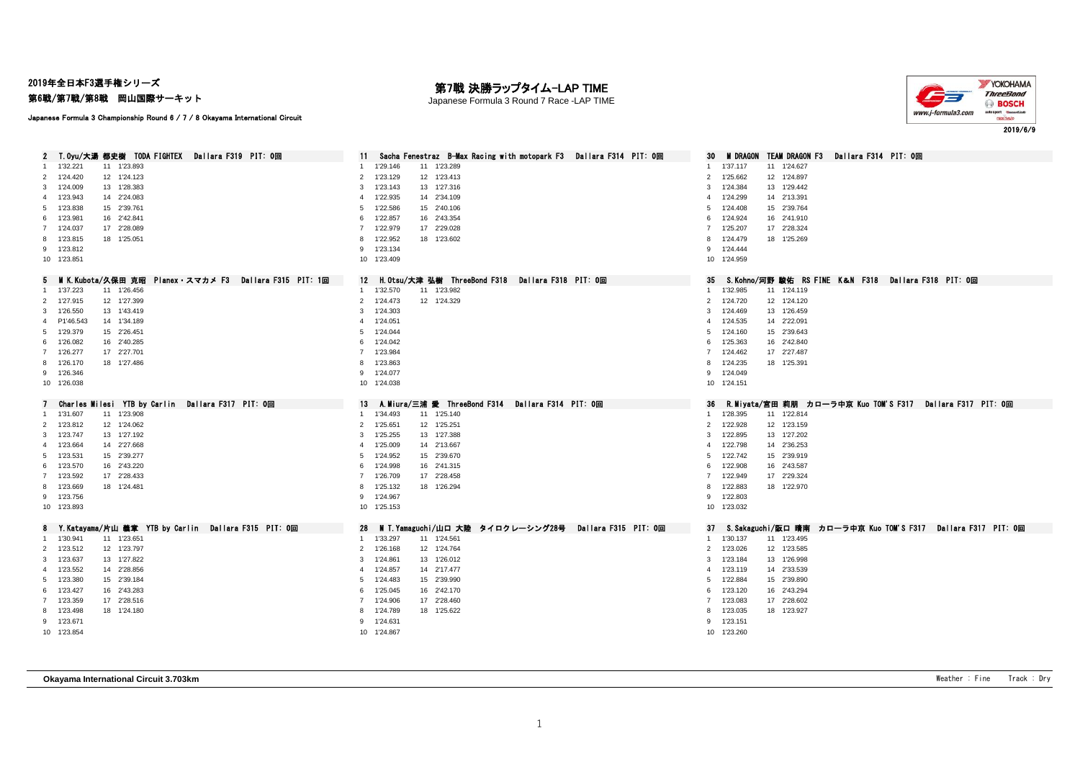2019年全日本F3選手権シリーズ

第6戦/第7戦/第8戦 岡山国際サーキット

## 第7戦 決勝ラップタイム-LAP TIME

Japanese Formula 3 Round 7 Race -LAP TIME



Japanese Formula 3 Championship Round 6 / 7 / 8 Okayama International Circuit

| T.Oyu/大湯 都史樹 TODA FIGHTEX Dallara F319 PIT: 0回<br>2     | Sacha Fenestraz B-Max Racing with motopark F3 Dallara F314 PIT: 0回<br>11. | M DRAGON TEAM DRAGON F3 Dallara F314 PIT: 0回<br>30                    |
|---------------------------------------------------------|---------------------------------------------------------------------------|-----------------------------------------------------------------------|
| 1 1'32.221<br>11 1'23.893                               | 1'29.146<br>11 1'23.289                                                   | 1'37.117<br>11 1'24.627<br>$\overline{1}$                             |
| 2 1'24.420<br>12 1'24.123                               | 1'23.129<br>12 1'23.413<br>$\overline{2}$                                 | 1'25.662<br>12 1'24.897<br>2                                          |
| 3 1'24.009<br>13 1'28.383                               | 1'23.143<br>13 1'27.316<br>3                                              | 1'24.384<br>13 1'29.442<br>3                                          |
| 4 1'23.943<br>14 2'24.083                               | 1'22.935<br>14 2'34.109<br>$\overline{a}$                                 | 14 2'13.391<br>1'24.299<br>$\overline{4}$                             |
| 5 1'23.838<br>15 2'39.761                               | 1'22.586<br>15 2'40.106<br>-5                                             | 15 2'39.764<br>1'24.408<br>5                                          |
| 6 1'23.981<br>16 2'42.841                               | 1'22.857<br>16 2'43.354<br>6                                              | 1'24.924<br>16 2'41.910<br>6                                          |
| 7 1'24.037<br>17 2'28.089                               | 1'22.979<br>17 2'29.028<br>7                                              | 1'25.207<br>17 2'28.324<br>$\overline{7}$                             |
| 8 1'23.815<br>18 1'25.051                               | 1'22.952<br>18 1'23.602<br>8                                              | 8 1'24.479<br>18 1'25.269                                             |
| 9 1'23.812                                              | 1'23.134<br>9                                                             | 9 1'24.444                                                            |
| 10 1'23.851                                             | 10 1'23.409                                                               | 10 1'24.959                                                           |
| 5 MIK.Kubota/久保田 克昭 Planex・スマカメ F3 Dallara F315 PIT: 1回 | H.Otsu/大津 弘樹 ThreeBond F318 Dallara F318 PIT: 0回<br>12                    | S.Kohno/河野 駿佑 RS FINE K&N F318 Dallara F318 PIT: 0回<br>35             |
| 11 1'26.456<br>1 1'37.223                               | 11 1'23.982<br>1 1'32.570                                                 | 1'32.985<br>11 1'24.119<br>1                                          |
| 2 1'27.915<br>12 1'27.399                               | 2 1'24.473<br>12 1'24.329                                                 | 2 1'24.720<br>12 1'24.120                                             |
| 3 1'26.550<br>13 1'43.419                               | 3 1'24.303                                                                | 13 1'26.459<br>3<br>1'24.469                                          |
| 4 P1'46.543<br>14 1'34.189                              | 1'24.051<br>$\mathbf{A}$                                                  | 1'24.535<br>14 2'22.091<br>$\overline{4}$                             |
| 5 1'29.379<br>15 2'26.451                               | 1'24.044<br>5                                                             | 1'24.160<br>15 2'39.643<br>5                                          |
| 6 1'26.082<br>16 2'40.285                               | 1'24.042<br>6                                                             | 16 2'42.840<br>1'25.363<br>6                                          |
| 7 1'26.277<br>17 2'27.701                               | 7 1'23.984                                                                | 17 2'27.487<br>7 1'24.462                                             |
| 8 1'26.170<br>18 1'27.486                               | 1'23.863<br>8                                                             | 1'24.235<br>18 1'25.391<br>8                                          |
| 9 1'26.346                                              | 1'24.077<br>9                                                             | 9 1'24.049                                                            |
| 10 1'26.038                                             | 10 1'24.038                                                               | 10 1'24.151                                                           |
|                                                         |                                                                           |                                                                       |
|                                                         |                                                                           |                                                                       |
| 7 Charles Milesi YTB by Carlin Dallara F317 PIT: 0回     | 13 A.Miura/三浦 愛 ThreeBond F314 Dallara F314 PIT: 0回                       | - R.Miyata/宮田 莉朋 カロ―ラ中京 Kuo TOM'S F317 - Dallara F317 - PIT: 0回<br>36 |
| 11 1'23.908<br>1 1'31,607                               | 11 1'25.140<br>1'34.493<br>$\mathbf{1}$                                   | 11 1'22.814<br>1 1'28.395                                             |
| 2 1'23.812<br>12 1'24.062                               | 2 1'25.651<br>12 1'25.251                                                 | 12 1'23.159<br>2 1'22.928                                             |
| 3 1'23.747<br>13 1'27.192                               | 1'25.255<br>13 1'27.388<br>3                                              | 3 1'22.895<br>13 1'27.202                                             |
| 4 1'23.664<br>14 2'27.668                               | 1'25.009<br>14 2'13.667<br>$\overline{a}$                                 | 14 2'36.253<br>1'22.798<br>$\overline{4}$                             |
| 5 1'23.531<br>15 2'39.277                               | 1'24.952<br>15 2'39.670<br>5                                              | 15 2'39.919<br>1'22.742<br>5                                          |
| 16 2'43.220<br>6 1'23.570                               | 1'24.998<br>16 2'41.315<br>6                                              | 1'22.908<br>16 2'43.587<br>6                                          |
| 7 1'23.592<br>17 2'28.433                               | 17 2'28.458<br>7 1'26.709                                                 | 7 1'22.949<br>17 2'29.324                                             |
| 8 1'23.669<br>18 1'24.481                               | 1'25.132<br>18 1'26.294<br>8                                              | 1'22.883<br>18 1'22.970<br>8                                          |
| 9 1'23.756                                              | 9 1'24.967                                                                | 1'22.803<br>9                                                         |
| 10 1'23.893                                             | 10 1'25.153                                                               | 10 1'23.032                                                           |
| 8 Y.Katayama/片山 義章 YTB by Carlin Dallara F315 PIT: 0回   | - M T.Yamaguchi/山口 大陸 タイロクレーシング28号 - Dallara F315 PIT: 0回<br>28           | 37 S.Sakaguchi/阪口 晴南 カローラ中京 Kuo TOM'S F317 Dallara F317 PIT: 0回       |
| 1 1'30.941<br>11 1'23.651                               | 1'33.297<br>11 1'24.561<br>$\mathbf{1}$                                   | 1 1'30.137<br>11 1'23.495                                             |
| 12 1'23.797<br>2 1'23.512                               | 2 1'26.168<br>12 1'24.764                                                 | 2 1'23.026<br>12 1'23.585                                             |
| 3 1'23.637<br>13 1'27.822                               | 1'24.861<br>13 1'26.012<br>3                                              | 3 1'23.184<br>13 1'26.998                                             |
| 4 1'23.552<br>14 2'28.856                               | 1'24.857<br>14 2'17.477<br>$\overline{4}$                                 | 4 1'23.119<br>14 2'33.539                                             |
| 5 1'23.380<br>15 2'39.184                               | 1'24.483<br>15 2'39.990<br>5                                              | 15 2'39.890<br>1'22.884<br>5                                          |
| 6 1'23.427<br>16 2'43.283                               | 1'25.045<br>16 2'42.170<br>6                                              | 16 2'43.294<br>1'23.120<br>6                                          |
| 7 1'23.359<br>17 2'28.516                               | 1'24.906<br>17 2'28.460                                                   | 1'23.083<br>17 2'28.602<br>$7^{\circ}$                                |
| 8 1'23.498<br>18 1'24.180                               | 1'24.789<br>18 1'25.622<br>8                                              | 1'23.035<br>18 1'23.927<br>8                                          |
| 9 1'23.671                                              | 9 1'24.631                                                                | 9 1'23.151                                                            |
| 10 1'23.854                                             | 10 1'24.867                                                               | 10 1'23.260                                                           |